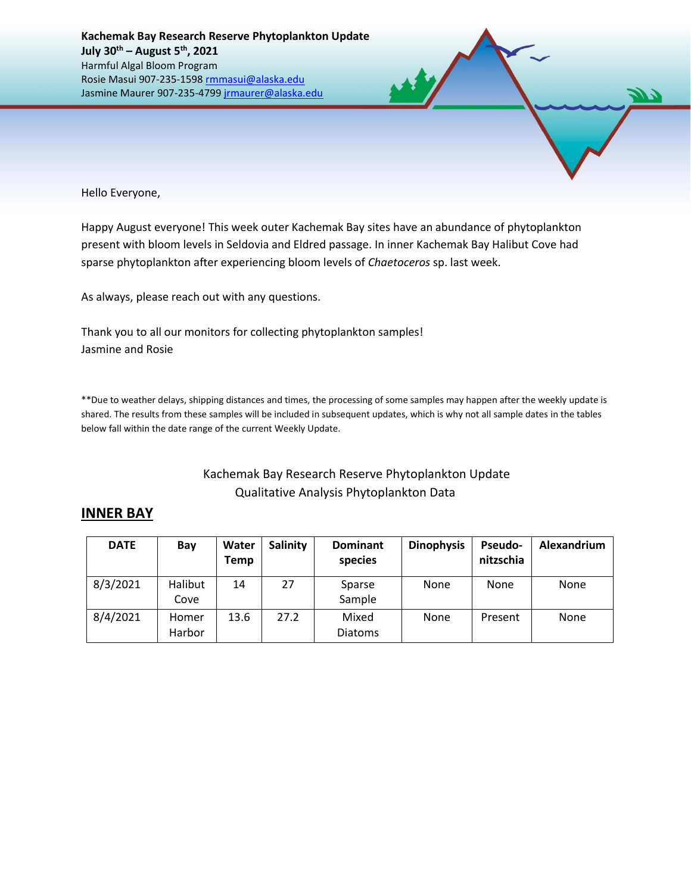

Hello Everyone,

Happy August everyone! This week outer Kachemak Bay sites have an abundance of phytoplankton present with bloom levels in Seldovia and Eldred passage. In inner Kachemak Bay Halibut Cove had sparse phytoplankton after experiencing bloom levels of *Chaetoceros* sp. last week.

As always, please reach out with any questions.

Thank you to all our monitors for collecting phytoplankton samples! Jasmine and Rosie

\*\*Due to weather delays, shipping distances and times, the processing of some samples may happen after the weekly update is shared. The results from these samples will be included in subsequent updates, which is why not all sample dates in the tables below fall within the date range of the current Weekly Update.

## Kachemak Bay Research Reserve Phytoplankton Update Qualitative Analysis Phytoplankton Data

## **INNER BAY**

| <b>DATE</b> | Bay             | Water<br>Temp | Salinity | <b>Dominant</b><br>species | <b>Dinophysis</b> | <b>Pseudo-</b><br>nitzschia | Alexandrium |
|-------------|-----------------|---------------|----------|----------------------------|-------------------|-----------------------------|-------------|
| 8/3/2021    | Halibut<br>Cove | 14            | 27       | Sparse<br>Sample           | None              | None                        | None        |
| 8/4/2021    | Homer<br>Harbor | 13.6          | 27.2     | Mixed<br><b>Diatoms</b>    | None              | Present                     | None        |